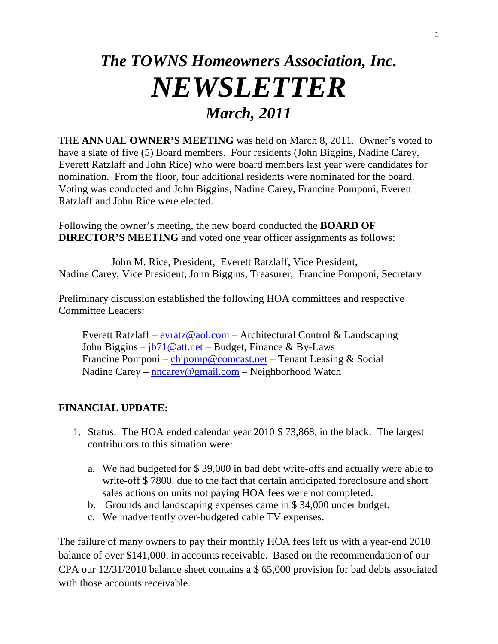## *The TOWNS Homeowners Association, Inc. NEWSLETTER March, 2011*

THE **ANNUAL OWNER'S MEETING** was held on March 8, 2011. Owner's voted to have a slate of five (5) Board members. Four residents (John Biggins, Nadine Carey, Everett Ratzlaff and John Rice) who were board members last year were candidates for nomination. From the floor, four additional residents were nominated for the board. Voting was conducted and John Biggins, Nadine Carey, Francine Pomponi, Everett Ratzlaff and John Rice were elected.

Following the owner's meeting, the new board conducted the **BOARD OF DIRECTOR'S MEETING** and voted one year officer assignments as follows:

 John M. Rice, President, Everett Ratzlaff, Vice President, Nadine Carey, Vice President, John Biggins, Treasurer, Francine Pomponi, Secretary

Preliminary discussion established the following HOA committees and respective Committee Leaders:

Everett Ratzlaff –  $\frac{evratz@aol.com}{com}$  $\frac{evratz@aol.com}{com}$  $\frac{evratz@aol.com}{com}$  – Architectural Control & Landscaping John Biggins –  $\frac{1}{10}$  att.net – Budget, Finance & By-Laws Francine Pomponi – [chipomp@comcast.net](mailto:chipomp@comcast.net) – Tenant Leasing & Social Nadine Carey – [nncarey@gmail.com](mailto:nncarey@gmail.com) – Neighborhood Watch

## **FINANCIAL UPDATE:**

- 1. Status: The HOA ended calendar year 2010 \$ 73,868. in the black. The largest contributors to this situation were:
	- a. We had budgeted for \$ 39,000 in bad debt write-offs and actually were able to write-off \$ 7800. due to the fact that certain anticipated foreclosure and short sales actions on units not paying HOA fees were not completed.
	- b. Grounds and landscaping expenses came in \$ 34,000 under budget.
	- c. We inadvertently over-budgeted cable TV expenses.

The failure of many owners to pay their monthly HOA fees left us with a year-end 2010 balance of over \$141,000. in accounts receivable. Based on the recommendation of our CPA our 12/31/2010 balance sheet contains a \$ 65,000 provision for bad debts associated with those accounts receivable.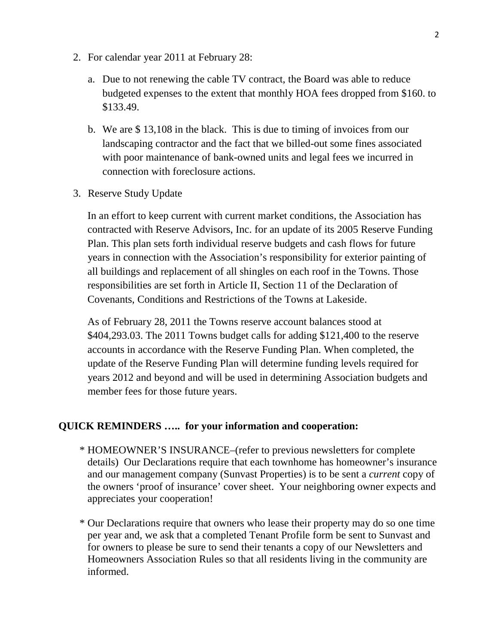- 2. For calendar year 2011 at February 28:
	- a. Due to not renewing the cable TV contract, the Board was able to reduce budgeted expenses to the extent that monthly HOA fees dropped from \$160. to \$133.49.
	- b. We are \$ 13,108 in the black. This is due to timing of invoices from our landscaping contractor and the fact that we billed-out some fines associated with poor maintenance of bank-owned units and legal fees we incurred in connection with foreclosure actions.
- 3. Reserve Study Update

 In an effort to keep current with current market conditions, the Association has contracted with Reserve Advisors, Inc. for an update of its 2005 Reserve Funding Plan. This plan sets forth individual reserve budgets and cash flows for future years in connection with the Association's responsibility for exterior painting of all buildings and replacement of all shingles on each roof in the Towns. Those responsibilities are set forth in Article II, Section 11 of the Declaration of Covenants, Conditions and Restrictions of the Towns at Lakeside.

 As of February 28, 2011 the Towns reserve account balances stood at \$404,293.03. The 2011 Towns budget calls for adding \$121,400 to the reserve accounts in accordance with the Reserve Funding Plan. When completed, the update of the Reserve Funding Plan will determine funding levels required for years 2012 and beyond and will be used in determining Association budgets and member fees for those future years.

## **QUICK REMINDERS ….. for your information and cooperation:**

- \* HOMEOWNER'S INSURANCE–(refer to previous newsletters for complete details) Our Declarations require that each townhome has homeowner's insurance and our management company (Sunvast Properties) is to be sent a *current* copy of the owners 'proof of insurance' cover sheet. Your neighboring owner expects and appreciates your cooperation!
- \* Our Declarations require that owners who lease their property may do so one time per year and, we ask that a completed Tenant Profile form be sent to Sunvast and for owners to please be sure to send their tenants a copy of our Newsletters and Homeowners Association Rules so that all residents living in the community are informed.